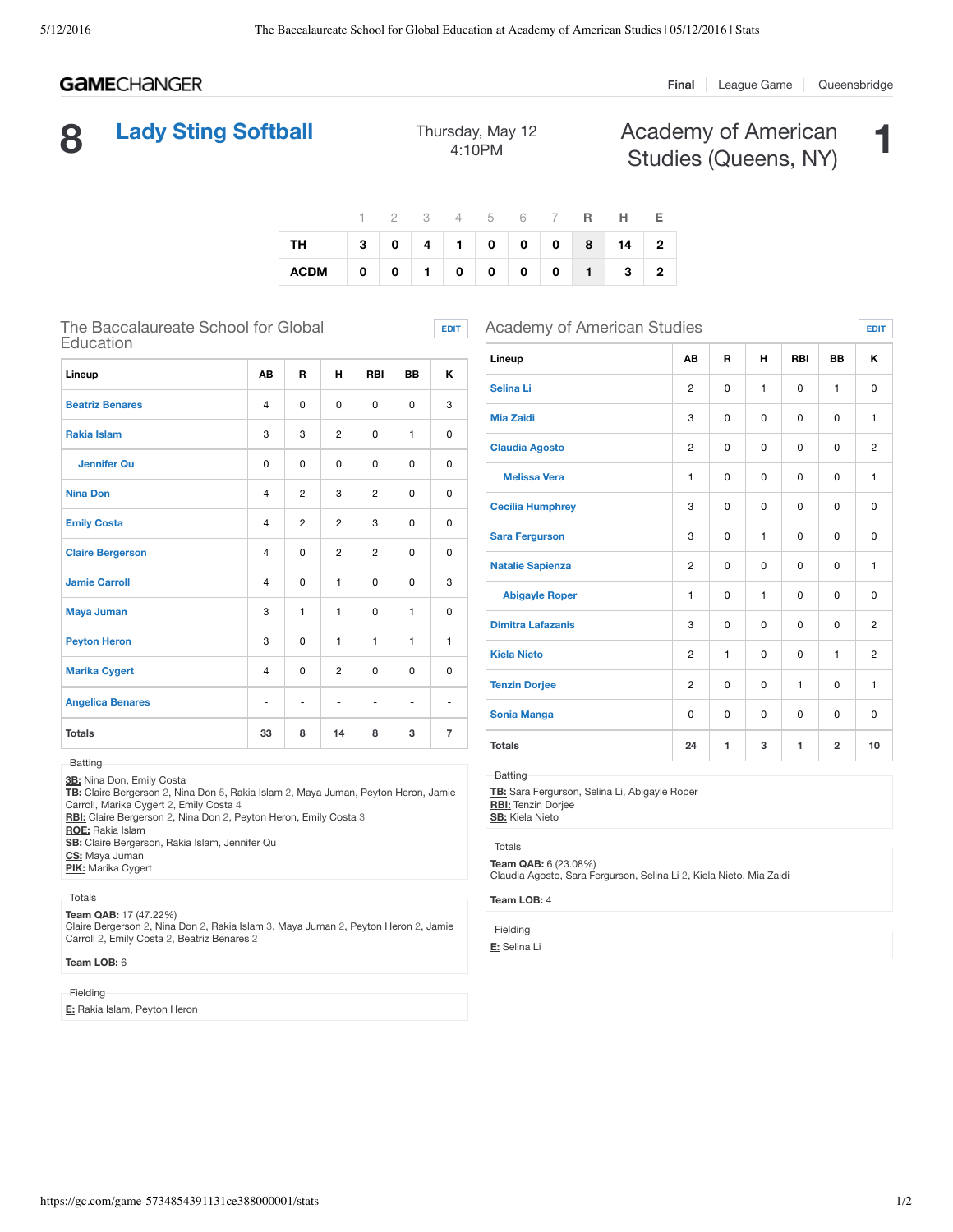# **GAME**CHANGER

#### **Final** League Game Queensbridge

# **8 Lady Sting Softball** Thursday, May 12

4:10PM

Academy of American Academy of American **1**<br>Studies (Queens, NY)

|                          |  |  |  |  | 1 2 3 4 5 6 7 <b>R</b> H E |  |
|--------------------------|--|--|--|--|----------------------------|--|
| TH 3 0 4 1 0 0 0 8 14 2  |  |  |  |  |                            |  |
| ACDM 0 0 1 0 0 0 0 1 3 2 |  |  |  |  |                            |  |

**EDIT**

## The Baccalaureate School for Global Education

| Lineup                  | <b>AB</b>      | R              | н              | <b>RBI</b>     | <b>BB</b>    | ĸ              |
|-------------------------|----------------|----------------|----------------|----------------|--------------|----------------|
| <b>Beatriz Benares</b>  | $\overline{4}$ | 0              | $\mathbf 0$    | $\Omega$       | $\Omega$     | 3              |
| <b>Rakia Islam</b>      | 3              | 3              | $\overline{c}$ | $\Omega$       | $\mathbf{1}$ | 0              |
| <b>Jennifer Ou</b>      | 0              | $\Omega$       | $\Omega$       | $\mathbf 0$    | $\Omega$     | 0              |
| <b>Nina Don</b>         | $\overline{4}$ | $\overline{2}$ | 3              | $\overline{2}$ | $\Omega$     | 0              |
| <b>Emily Costa</b>      | $\overline{4}$ | $\overline{c}$ | $\overline{c}$ | 3              | 0            | 0              |
| <b>Claire Bergerson</b> | $\overline{4}$ | 0              | 2              | $\overline{c}$ | 0            | 0              |
| <b>Jamie Carroll</b>    | $\overline{4}$ | 0              | 1              | $\mathbf 0$    | 0            | 3              |
| <b>Maya Juman</b>       | 3              | 1              | 1              | $\mathbf 0$    | $\mathbf{1}$ | 0              |
| <b>Peyton Heron</b>     | 3              | $\Omega$       | 1              | 1              | $\mathbf{1}$ | $\mathbf{1}$   |
| <b>Marika Cygert</b>    | $\overline{4}$ | $\Omega$       | $\overline{2}$ | $\mathbf 0$    | 0            | 0              |
| <b>Angelica Benares</b> | ٠              |                | $\overline{a}$ | $\overline{a}$ |              | ۰              |
| <b>Totals</b>           | 33             | 8              | 14             | 8              | 3            | $\overline{7}$ |

**3B:** Nina Don, Emily Costa

**TB:** Claire Bergerson 2, Nina Don 5, Rakia Islam 2, Maya Juman, Peyton Heron, Jamie Carroll, Marika Cygert 2, Emily Costa 4

**RBI:** Claire Bergerson 2, Nina Don 2, Peyton Heron, Emily Costa 3

**ROE:** Rakia Islam

**SB:** Claire Bergerson, Rakia Islam, Jennifer Qu

**CS:** Maya Juman **PIK:** Marika Cygert

Totals

**Team QAB:** 17 (47.22%)

Claire Bergerson 2, Nina Don 2, Rakia Islam 3, Maya Juman 2, Peyton Heron 2, Jamie Carroll 2, Emily Costa 2, Beatriz Benares 2

### **Team LOB:** 6

#### Fielding

**E:** Rakia Islam, Peyton Heron

| <b>Academy of American Studies</b> |                |          |             |              |                |                |  |  |  |
|------------------------------------|----------------|----------|-------------|--------------|----------------|----------------|--|--|--|
| Lineup                             | AB             | R        | н           | <b>RBI</b>   | <b>BB</b>      | Κ              |  |  |  |
| <b>Selina Li</b>                   | $\overline{c}$ | 0        | 1           | $\Omega$     | 1              | 0              |  |  |  |
| <b>Mia Zaidi</b>                   | 3              | 0        | 0           | $\Omega$     | $\Omega$       | $\mathbf{1}$   |  |  |  |
| <b>Claudia Agosto</b>              | $\overline{2}$ | 0        | $\mathbf 0$ | $\Omega$     | 0              | $\overline{2}$ |  |  |  |
| <b>Melissa Vera</b>                | $\mathbf{1}$   | 0        | $\Omega$    | $\Omega$     | 0              | $\mathbf{1}$   |  |  |  |
| <b>Cecilia Humphrey</b>            | 3              | $\Omega$ | $\Omega$    | $\Omega$     | $\Omega$       | $\Omega$       |  |  |  |
| <b>Sara Fergurson</b>              | 3              | 0        | 1           | $\Omega$     | 0              | $\Omega$       |  |  |  |
| <b>Natalie Sapienza</b>            | 2              | $\Omega$ | $\Omega$    | $\Omega$     | $\Omega$       | $\mathbf{1}$   |  |  |  |
| <b>Abigayle Roper</b>              | $\mathbf{1}$   | 0        | 1           | $\Omega$     | 0              | 0              |  |  |  |
| <b>Dimitra Lafazanis</b>           | 3              | 0        | 0           | $\Omega$     | 0              | $\overline{2}$ |  |  |  |
| <b>Kiela Nieto</b>                 | $\overline{2}$ | 1        | $\mathbf 0$ | $\Omega$     | 1              | $\overline{2}$ |  |  |  |
| <b>Tenzin Dorjee</b>               | $\overline{2}$ | 0        | 0           | $\mathbf{1}$ | 0              | $\mathbf{1}$   |  |  |  |
| <b>Sonia Manga</b>                 | 0              | 0        | $\mathbf 0$ | $\Omega$     | 0              | 0              |  |  |  |
| <b>Totals</b>                      | 24             | 1        | 3           | 1            | $\overline{2}$ | 10             |  |  |  |

Batting

**TB:** Sara Fergurson, Selina Li, Abigayle Roper **RBI:** Tenzin Dorjee

**SB:** Kiela Nieto

Totals

**Team QAB:** 6 (23.08%)

Claudia Agosto, Sara Fergurson, Selina Li 2, Kiela Nieto, Mia Zaidi

#### **Team LOB:** 4

Fielding

**E:** Selina Li